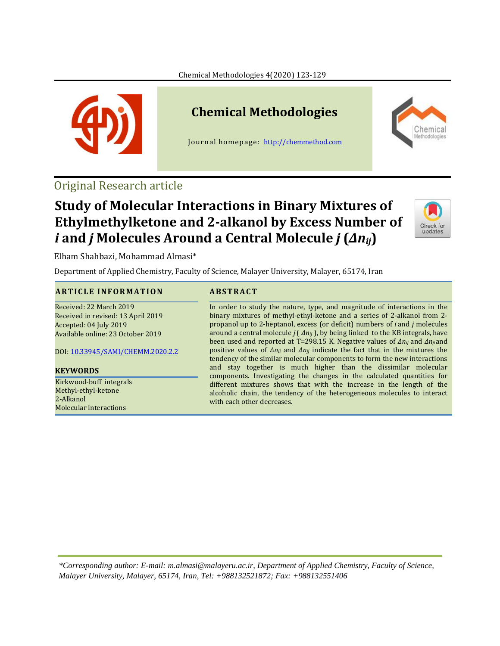Chemical Methodologies 4(2020) 123-129



# **Chemical Methodologies**

Journal homepage: [http://chemmethod.com](http://chemmethod.com/)



### Original Research article

## **Study of Molecular Interactions in Binary Mixtures of Ethylmethylketone and 2-alkanol by Excess Number of**  *i* **and** *j* **Molecules Around a Central Molecule** *j* **(***Δnij***)**



Elham Shahbazi, Mohammad Almasi\*

Department of Applied Chemistry, Faculty of Science, Malayer University, Malayer, 65174, Iran

### **A R T I C L E I N F O R M A T I O N ABST R A C T**

Received: 22 March 2019 Received in revised: 13 April 2019 Accepted: 04 July 2019 Available online: 23 October 2019

DOI: [10.33945/SAMI/CHEMM.2020.2.2](http://www.chemmethod.com/article_89952.html)

#### **KEYWORDS**

Kirkwood-buff integrals Methyl-ethyl-ketone 2-Alkanol Molecular interactions

In order to study the nature, type, and magnitude of interactions in the binary mixtures of methyl-ethyl-ketone and a series of 2-alkanol from 2 propanol up to 2-heptanol, excess (or deficit) numbers of *i* and *j* molecules around a central molecule *j* ( *Δnij* ), by being linked to the KB integrals, have been used and reported at T=298.15 K. Negative values of *Δnij* and *Δnji* and positive values of *Δnii* and *Δnjj* indicate the fact that in the mixtures the tendency of the similar molecular components to form the new interactions and stay together is much higher than the dissimilar molecular components. Investigating the changes in the calculated quantities for different mixtures shows that with the increase in the length of the alcoholic chain, the tendency of the heterogeneous molecules to interact with each other decreases.

*\*Corresponding author: E-mail: m.almasi@malayeru.ac.ir, Department of Applied Chemistry, Faculty of Science, Malayer University, Malayer, 65174, Iran, Tel: +988132521872; Fax: +988132551406*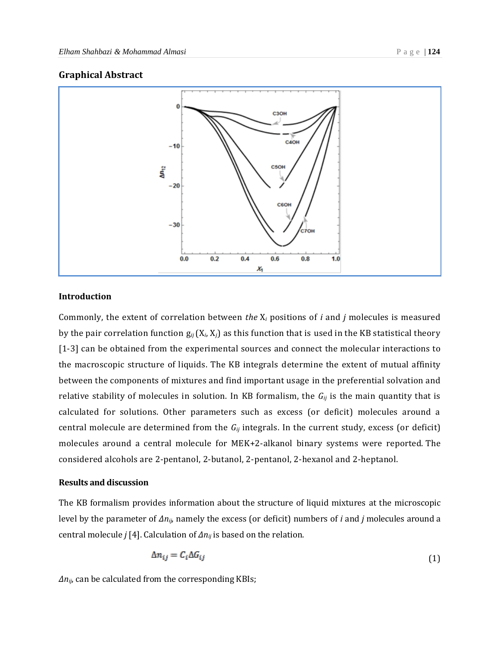#### **Graphical Abstract**



### **Introduction**

Commonly, the extent of correlation between *the* X*<sup>i</sup>* positions of *i* and *j* molecules is measured by the pair correlation function g*ij*(X*i*, X*j*) as this function that is used in the KB statistical theory [1-3] can be obtained from the experimental sources and connect the molecular interactions to the macroscopic structure of liquids. The KB integrals determine the extent of mutual affinity between the components of mixtures and find important usage in the preferential solvation and relative stability of molecules in solution. In KB formalism, the *Gij* is the main quantity that is calculated for solutions. Other parameters such as excess (or deficit) molecules around a central molecule are determined from the *Gij* integrals. In the current study, excess (or deficit) molecules around a central molecule for MEK+2-alkanol binary systems were reported. The considered alcohols are 2-pentanol, 2-butanol, 2-pentanol, 2-hexanol and 2-heptanol.

#### **Results and discussion**

The KB formalism provides information about the structure of liquid mixtures at the microscopic level by the parameter of *Δnij*, namely the excess (or deficit) numbers of *i* and *j* molecules around a central molecule *j* [4]. Calculation of *Δnij* is based on the relation.

$$
\Delta n_{ij} = C_i \Delta G_{ij} \tag{1}
$$

*Δnij*, can be calculated from the corresponding KBIs;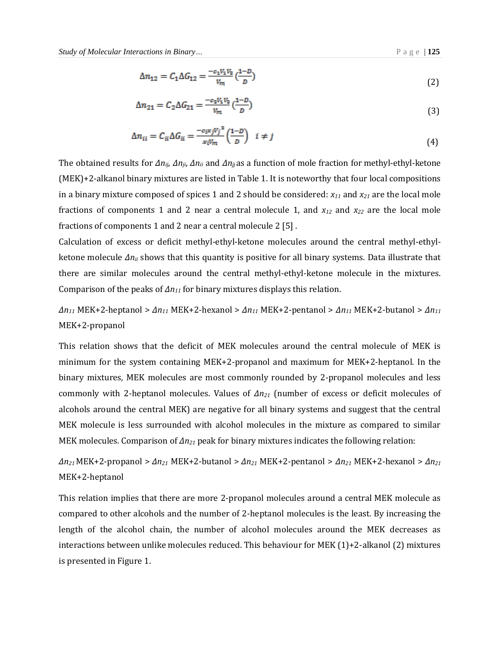$$
\Delta n_{12} = C_1 \Delta G_{12} = \frac{-c_1 V_1 V_2}{V_m} \left(\frac{1 - D}{D}\right)
$$
\n(2)

$$
\Delta n_{21} = C_2 \Delta G_{21} = \frac{-c_2 V_1 V_2}{V_m} \left(\frac{1 - D}{D}\right)
$$
\n(3)

$$
\Delta n_{ii} = C_{ii} \Delta G_{ii} = \frac{-c_{i} \kappa_{j} V_{j}^{2}}{\kappa_{i} V_{m}} \left(\frac{1-D}{D}\right) \quad i \neq j \tag{4}
$$

The obtained results for *Δnij*, *Δnji*, *Δnii* and *Δnjj*as a function of mole fraction for methyl-ethyl-ketone (MEK)+2-alkanol binary mixtures are listed in Table 1. It is noteworthy that four local compositions in a binary mixture composed of spices 1 and 2 should be considered:  $x_{11}$  and  $x_{21}$  are the local mole fractions of components 1 and 2 near a central molecule 1, and *x<sup>12</sup>* and *x<sup>22</sup>* are the local mole fractions of components 1 and 2 near a central molecule 2 [5] .

Calculation of excess or deficit methyl-ethyl-ketone molecules around the central methyl-ethylketone molecule *Δnii* shows that this quantity is positive for all binary systems. Data illustrate that there are similar molecules around the central methyl-ethyl-ketone molecule in the mixtures. Comparison of the peaks of *Δn<sup>11</sup>* for binary mixtures displays this relation.

*Δn<sup>11</sup>* MEK+2-heptanol > *Δn<sup>11</sup>* MEK+2-hexanol > *Δn<sup>11</sup>* MEK+2-pentanol > *Δn<sup>11</sup>* MEK+2-butanol > *Δn<sup>11</sup>* MEK+2-propanol

This relation shows that the deficit of MEK molecules around the central molecule of MEK is minimum for the system containing MEK+2-propanol and maximum for MEK+2-heptanol. In the binary mixtures, MEK molecules are most commonly rounded by 2-propanol molecules and less commonly with 2-heptanol molecules. Values of *Δn<sup>21</sup>* (number of excess or deficit molecules of alcohols around the central MEK) are negative for all binary systems and suggest that the central MEK molecule is less surrounded with alcohol molecules in the mixture as compared to similar MEK molecules. Comparison of *Δn<sup>21</sup>* peak for binary mixtures indicates the following relation:

*Δn21* MEK+2-propanol > *Δn<sup>21</sup>* MEK+2-butanol > *Δn<sup>21</sup>* MEK+2-pentanol > *Δn<sup>21</sup>* MEK+2-hexanol > *Δn<sup>21</sup>* MEK+2-heptanol

This relation implies that there are more 2-propanol molecules around a central MEK molecule as compared to other alcohols and the number of 2-heptanol molecules is the least. By increasing the length of the alcohol chain, the number of alcohol molecules around the MEK decreases as interactions between unlike molecules reduced. This behaviour for MEK (1)+2-alkanol (2) mixtures is presented in Figure 1.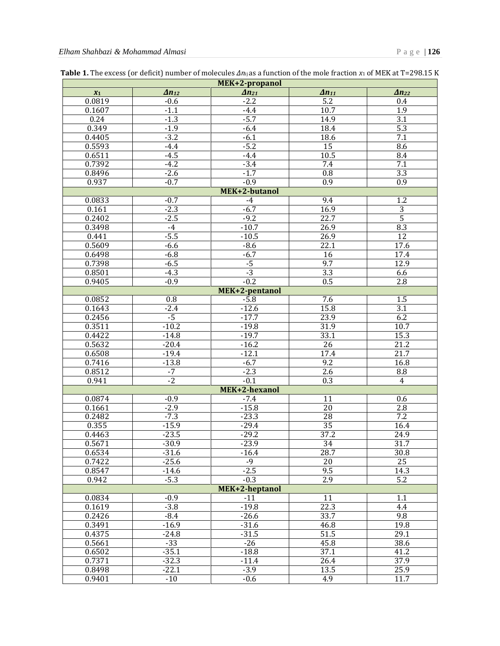| MEK+2-propanol |                 |                 |                   |                   |
|----------------|-----------------|-----------------|-------------------|-------------------|
| $X_1$          | $\Delta n_{12}$ | $\Delta n_{21}$ | $\Delta n_{11}$   | $\Delta n_{22}$   |
| 0.0819         | $-0.6$          | $-2.2$          | $\overline{5.2}$  | 0.4               |
| 0.1607         | $-1.1$          | $-4.4$          | 10.7              | 1.9               |
| 0.24           | $-1.3$          | $-5.7$          | 14.9              | $\overline{3.1}$  |
| 0.349          | $-1.9$          | $-6.4$          | 18.4              | $\overline{5.3}$  |
| 0.4405         | $-3.2$          | $-6.1$          | 18.6              | 7.1               |
| 0.5593         | $-4.4$          | $-5.2$          | 15                | 8.6               |
| 0.6511         | $-4.5$          | $-4.4$          | 10.5              | 8.4               |
| 0.7392         | $-4.2$          | $-3.4$          | 7.4               | 7.1               |
| 0.8496         | $-2.6$          | $-1.7$          | 0.8               | $\overline{3.3}$  |
| 0.937          | $-0.7$          | $-0.9$          | $\overline{0.9}$  | 0.9               |
| MEK+2-butanol  |                 |                 |                   |                   |
| 0.0833         | $-0.7$          | $-4$            | 9.4               | $\overline{1.2}$  |
| 0.161          | $-2.3$          | $-6.7$          | 16.9              | $\overline{3}$    |
| 0.2402         | $-2.5$          | $-9.2$          | 22.7              | $\overline{5}$    |
| 0.3498         | $-4$            | $-10.7$         | 26.9              | 8.3               |
| 0.441          | $-5.5$          | $-10.5$         | 26.9              | 12                |
| 0.5609         | $-6.6$          | $-8.6$          | 22.1              | 17.6              |
| 0.6498         | $-6.8$          | $-6.7$          | $\overline{16}$   | 17.4              |
| 0.7398         | $-6.5$          | $-5$            | 9.7               | 12.9              |
| 0.8501         | $-4.3$          | $-3$            | 3.3               | 6.6               |
| 0.9405         | $-0.9$          | $-0.2$          | 0.5               | $\overline{2.8}$  |
| MEK+2-pentanol |                 |                 |                   |                   |
| 0.0852         | 0.8             | $-5.8$          | 7.6               | 1.5               |
| 0.1643         | $-2.4$          | $-12.6$         | 15.8              | $\overline{3.1}$  |
| 0.2456         | $-5$            | $-17.7$         | 23.9              | 6.2               |
| 0.3511         | $-10.2$         | $-19.8$         | 31.9              | 10.7              |
| 0.4422         | $-14.8$         | $-19.7$         | 33.1              | 15.3              |
| 0.5632         | $-20.4$         | $-16.2$         | $\overline{26}$   | $\overline{21.2}$ |
| 0.6508         | $-19.4$         | $-12.1$         | 17.4              | $\overline{21.7}$ |
| 0.7416         | $-13.8$         | $-6.7$          | 9.2               | 16.8              |
| 0.8512         | $-7$            | $-2.3$          | 2.6               | 8.8               |
| 0.941          | $-2$            | $-0.1$          | $\overline{0.3}$  | $\overline{4}$    |
| MEK+2-hexanol  |                 |                 |                   |                   |
| 0.0874         | $-0.9$          | $-7.4$          | 11                | 0.6               |
| 0.1661         | $-2.9$          | $-15.8$         | $\overline{20}$   | 2.8               |
| 0.2482         | $-7.3$          | $-23.3$         | 28                | 7.2               |
| 0.355          | $-15.9$         | $-29.4$         | 35                | 16.4              |
| 0.4463         | $-23.5$         | $-29.2$         | 37.2              | 24.9              |
| 0.5671         | $-30.9$         | $-23.9$         | 34                | 31.7              |
| 0.6534         | $-31.6$         | $-16.4$         | 28.7              | 30.8              |
| 0.7422         | $-25.6$         | $-9$            | 20                | $\overline{25}$   |
| 0.8547         | $-14.6$         | $-2.5$          | 9.5               | 14.3              |
| 0.942          | $-5.3$          | $-0.3$          | 2.9               | $\overline{5.2}$  |
| MEK+2-heptanol |                 |                 |                   |                   |
| 0.0834         | $-0.9$          | $-11$           | 11                | 1.1               |
| 0.1619         | $-3.8$          | $-19.8$         | 22.3              | 4.4               |
| 0.2426         | $-8.4$          | $-26.6$         | 33.7              | 9.8               |
| 0.3491         | $-16.9$         | $-31.6$         | 46.8              | 19.8              |
| 0.4375         | $-24.8$         | $-31.5$         | $\overline{51.5}$ | 29.1              |
| 0.5661         | $-33$           | $-26$           | 45.8              | 38.6              |
| 0.6502         | $-35.1$         | $-18.8$         | 37.1              | 41.2              |
| 0.7371         | $-32.3$         | $-11.4$         | 26.4              | 37.9              |
| 0.8498         | $-22.1$         | $-3.9$          | 13.5              | 25.9              |
| 0.9401         | $-10$           | $-0.6$          | 4.9               | 11.7              |

**Table 1.** The excess (or deficit) number of molecules  $\Delta n_{ij}$  as a function of the mole fraction *x*<sub>1</sub> of MEK at T=298.15 K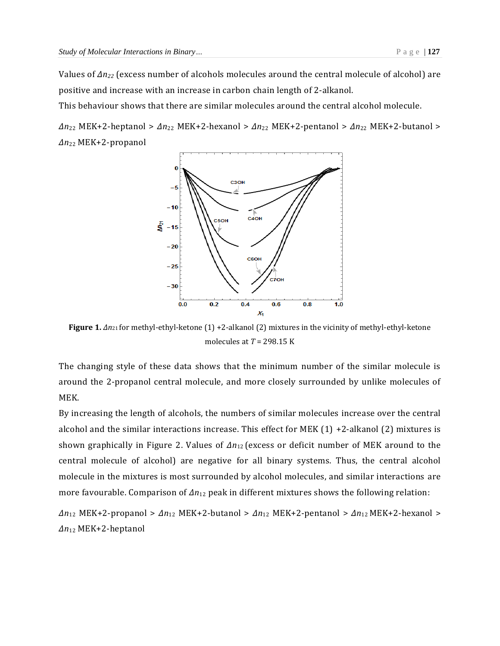Values of *Δn<sup>22</sup>* (excess number of alcohols molecules around the central molecule of alcohol) are positive and increase with an increase in carbon chain length of 2-alkanol.

This behaviour shows that there are similar molecules around the central alcohol molecule.

*Δn*<sup>22</sup> MEK+2-heptanol > *Δn*<sup>22</sup> MEK+2-hexanol > *Δn*<sup>22</sup> MEK+2-pentanol > *Δn*<sup>22</sup> MEK+2-butanol > *Δn*<sup>22</sup> MEK+2-propanol



**Figure 1.** *Δn*21 for methyl-ethyl-ketone (1) +2-alkanol (2) mixtures in the vicinity of methyl-ethyl-ketone molecules at *T* = 298.15 K

The changing style of these data shows that the minimum number of the similar molecule is around the 2-propanol central molecule, and more closely surrounded by unlike molecules of MEK.

By increasing the length of alcohols, the numbers of similar molecules increase over the central alcohol and the similar interactions increase. This effect for MEK (1) +2-alkanol (2) mixtures is shown graphically in Figure 2. Values of *Δn*12 (excess or deficit number of MEK around to the central molecule of alcohol) are negative for all binary systems. Thus, the central alcohol molecule in the mixtures is most surrounded by alcohol molecules, and similar interactions are more favourable. Comparison of *Δn*<sup>12</sup> peak in different mixtures shows the following relation:

*Δn*<sup>12</sup> MEK+2-propanol > *Δn*<sup>12</sup> MEK+2-butanol > *Δn*<sup>12</sup> MEK+2-pentanol > *Δn*12 MEK+2-hexanol > *Δn*<sup>12</sup> MEK+2-heptanol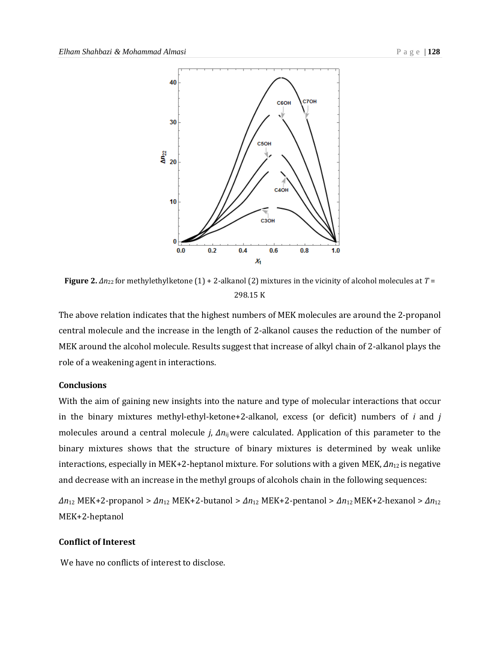

**Figure 2.** *Δn*22 for methylethylketone (1) + 2-alkanol (2) mixtures in the vicinity of alcohol molecules at *T* = 298.15 K

The above relation indicates that the highest numbers of MEK molecules are around the 2-propanol central molecule and the increase in the length of 2-alkanol causes the reduction of the number of MEK around the alcohol molecule. Results suggest that increase of alkyl chain of 2-alkanol plays the role of a weakening agent in interactions.

### **Conclusions**

With the aim of gaining new insights into the nature and type of molecular interactions that occur in the binary mixtures methyl-ethyl-ketone+2-alkanol, excess (or deficit) numbers of *i* and *j* molecules around a central molecule *j*, *Δn*ij were calculated. Application of this parameter to the binary mixtures shows that the structure of binary mixtures is determined by weak unlike interactions, especially in MEK+2-heptanol mixture. For solutions with a given MEK, *Δn*12 is negative and decrease with an increase in the methyl groups of alcohols chain in the following sequences:

*Δn*<sup>12</sup> MEK+2-propanol > *Δn*<sup>12</sup> MEK+2-butanol > *Δn*<sup>12</sup> MEK+2-pentanol > *Δn*12 MEK+2-hexanol > *Δn*<sup>12</sup> MEK+2-heptanol

#### **Conflict of Interest**

We have no conflicts of interest to disclose.